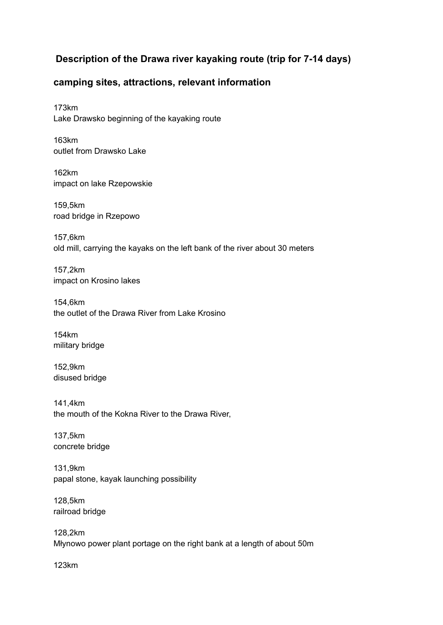## **Description of the Drawa river kayaking route (trip for 7-14 days)**

## **camping sites, attractions, relevant information**

173km Lake Drawsko beginning of the kayaking route

163km outlet from Drawsko Lake

162km impact on lake Rzepowskie

159,5km road bridge in Rzepowo

157,6km old mill, carrying the kayaks on the left bank of the river about 30 meters

157,2km impact on Krosino lakes

154,6km the outlet of the Drawa River from Lake Krosino

154km military bridge

152,9km disused bridge

141,4km the mouth of the Kokna River to the Drawa River,

137,5km concrete bridge

131,9km papal stone, kayak launching possibility

128,5km railroad bridge

128,2km Młynowo power plant portage on the right bank at a length of about 50m

123km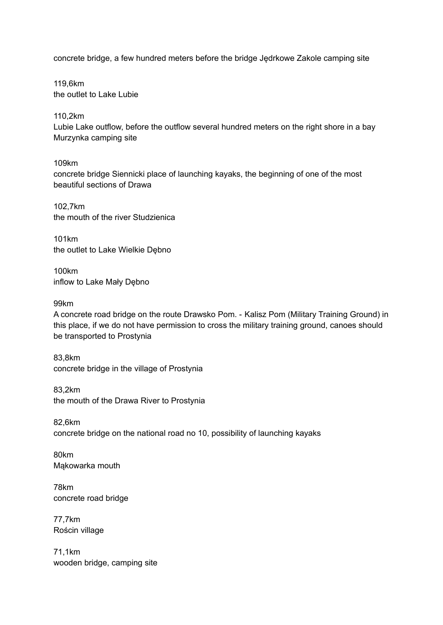concrete bridge, a few hundred meters before the bridge Jędrkowe Zakole camping site

119,6km the outlet to Lake Lubie

110,2km

Lubie Lake outflow, before the outflow several hundred meters on the right shore in a bay Murzynka camping site

109km

concrete bridge Siennicki place of launching kayaks, the beginning of one of the most beautiful sections of Drawa

102,7km the mouth of the river Studzienica

101km the outlet to Lake Wielkie Dębno

100km inflow to Lake Mały Dębno

99km

A concrete road bridge on the route Drawsko Pom. - Kalisz Pom (Military Training Ground) in this place, if we do not have permission to cross the military training ground, canoes should be transported to Prostynia

83,8km concrete bridge in the village of Prostynia

83,2km the mouth of the Drawa River to Prostynia

82,6km concrete bridge on the national road no 10, possibility of launching kayaks

80km Mąkowarka mouth

78km concrete road bridge

77,7km Rościn village

71,1km wooden bridge, camping site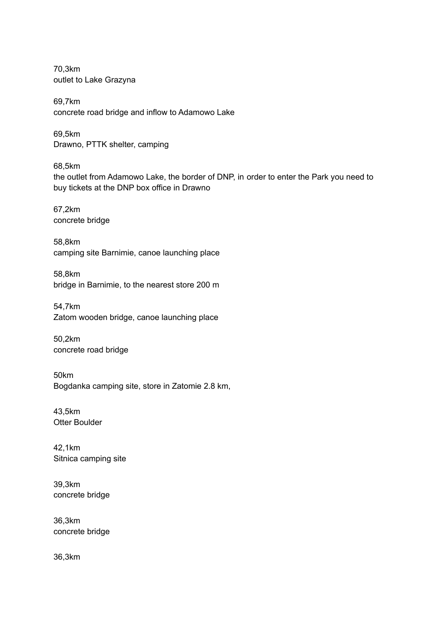70,3km outlet to Lake Grazyna

69,7km concrete road bridge and inflow to Adamowo Lake

69,5km Drawno, PTTK shelter, camping

68,5km the outlet from Adamowo Lake, the border of DNP, in order to enter the Park you need to buy tickets at the DNP box office in Drawno

67,2km concrete bridge

58,8km camping site Barnimie, canoe launching place

58,8km bridge in Barnimie, to the nearest store 200 m

54,7km Zatom wooden bridge, canoe launching place

50,2km concrete road bridge

50km Bogdanka camping site, store in Zatomie 2.8 km,

43,5km Otter Boulder

42,1km Sitnica camping site

39,3km concrete bridge

36,3km concrete bridge

36,3km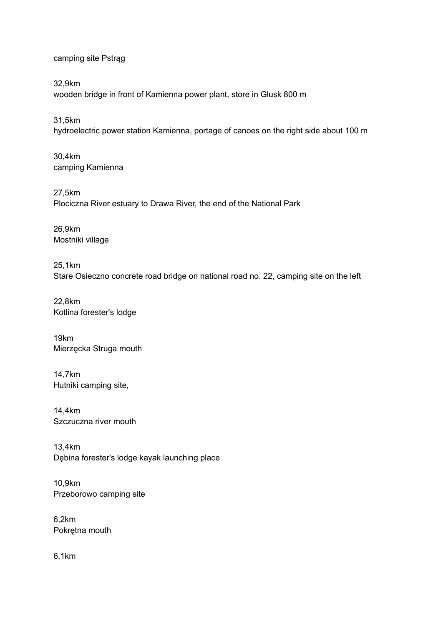camping site Pstrąg

32,9km wooden bridge in front of Kamienna power plant, store in Glusk 800 m

31,5km hydroelectric power station Kamienna, portage of canoes on the right side about 100 m

30,4km camping Kamienna

27,5km Plociczna River estuary to Drawa River, the end of the National Park

26,9km Mostniki village

25,1km Stare Osieczno concrete road bridge on national road no. 22, camping site on the left

22,8km Kotlina forester's lodge

19km Mierzęcka Struga mouth

14,7km Hutniki camping site,

14,4km Szczuczna river mouth

13,4km Dębina forester's lodge kayak launching place

10,9km Przeborowo camping site

6,2km Pokrętna mouth

6,1km